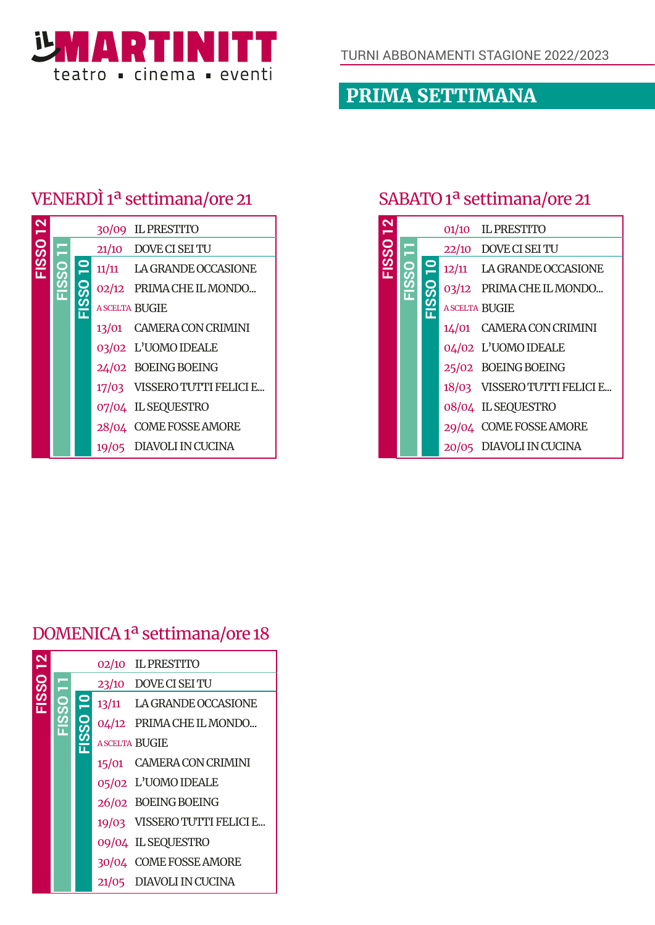

PRIMA SETTIMANA

## VENERDÌ 1ª settimana/ore 21

|  |  | 30/09 IL PRESTITO            |
|--|--|------------------------------|
|  |  | 21/10 DOVE CI SEI TU         |
|  |  | 11/11 LA GRANDE OCCASIONE    |
|  |  | 02/12 PRIMA CHE IL MONDO     |
|  |  | <b>ASCELTA BUGIE</b>         |
|  |  | 13/01 CAMERA CON CRIMINI     |
|  |  | 03/02 L'UOMO IDEALE          |
|  |  | 24/02 BOEING BOEING          |
|  |  | 17/03 VISSERO TUTTI FELICI E |
|  |  | 07/04 IL SEQUESTRO           |
|  |  | 28/04 COME FOSSE AMORE       |
|  |  | 19/05 DIAVOLI IN CUCINA      |

#### SABATO 1ª settimana/ore 21

|          |   |  | 01/10 IL PRESTITO            |
|----------|---|--|------------------------------|
|          | ♦ |  | 22/10 DOVE CI SEI TU         |
| FISSO 12 |   |  | 12/11 LA GRANDE OCCASIONE    |
|          |   |  | 03/12 PRIMA CHE IL MONDO     |
|          |   |  | <b>ASCELTA BUGIE</b>         |
|          |   |  | 14/01 CAMERA CON CRIMINI     |
|          |   |  | 04/02 L'UOMO IDEALE          |
|          |   |  | 25/02 BOEING BOEING          |
|          |   |  | 18/03 VISSERO TUTTI FELICI E |
|          |   |  | 08/04 IL SEQUESTRO           |
|          |   |  | 29/04 COME FOSSE AMORE       |
|          |   |  | 20/05 DIAVOLI IN CUCINA      |

#### DOMENICA 1ª settimana/ore 18

|     |              |       | 02/10 IL PRESTITO            |
|-----|--------------|-------|------------------------------|
| SSO |              |       | 23/10 DOVE CI SEI TU         |
|     | $\mathbf{P}$ |       | 13/11 LA GRANDE OCCASIONE    |
|     |              |       | 04/12 PRIMA CHE IL MONDO     |
|     |              |       | <b>ASCELTA BUGIE</b>         |
|     |              |       | 15/01 CAMERA CON CRIMINI     |
|     |              |       | 05/02 L'UOMO IDEALE          |
|     |              |       | 26/02 BOEING BOEING          |
|     |              |       | 19/03 VISSERO TUTTI FELICI E |
|     |              |       | 09/04 IL SEQUESTRO           |
|     |              |       | 30/04 COME FOSSE AMORE       |
|     |              | 21/05 | DIAVOLI IN CUCINA            |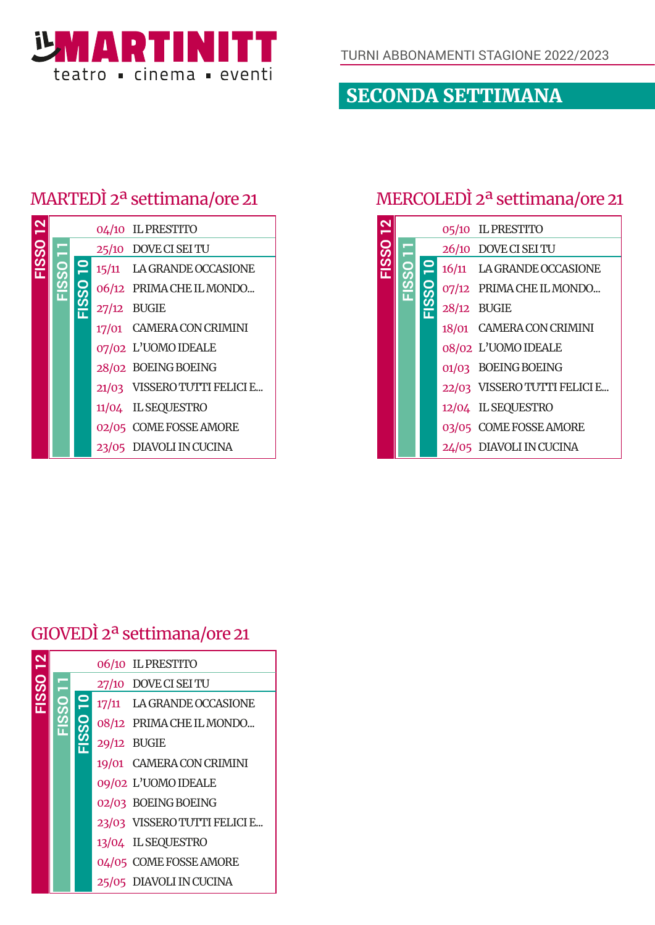

SECONDA SETTIMANA

# MARTEDÌ 2ª settimana/ore 21

|  |  | 04/10 IL PRESTITO            |
|--|--|------------------------------|
|  |  | 25/10 DOVE CI SEI TU         |
|  |  | 15/11 LA GRANDE OCCASIONE    |
|  |  | 06/12 PRIMA CHE IL MONDO     |
|  |  | $27/12$ BUGIE                |
|  |  | 17/01 CAMERA CON CRIMINI     |
|  |  | 07/02 L'UOMO IDEALE          |
|  |  | 28/02 BOEING BOEING          |
|  |  | 21/03 VISSERO TUTTI FELICI E |
|  |  | 11/04 IL SEQUESTRO           |
|  |  | 02/05 COME FOSSE AMORE       |
|  |  | 23/05 DIAVOLI IN CUCINA      |

### MERCOLEDÌ 2ª settimana/ore 21

|          |              | 05/10 IL PRESTITO            |
|----------|--------------|------------------------------|
| FISSO 12 |              | 26/10 DOVE CI SEI TU         |
|          | $\mathbf{S}$ | 16/11 LA GRANDE OCCASIONE    |
|          |              | 07/12 PRIMA CHE IL MONDO     |
|          |              | 28/12 BUGIE                  |
|          |              | 18/01 CAMERA CON CRIMINI     |
|          |              | 08/02 L'UOMO IDEALE          |
|          |              | 01/03 BOEING BOEING          |
|          |              | 22/03 VISSERO TUTTI FELICI E |
|          |              | 12/04 IL SEQUESTRO           |
|          |              | 03/05 COME FOSSE AMORE       |
|          |              | 24/05 DIAVOLI IN CUCINA      |

# GIOVEDÌ 2ª settimana/ore 21

|      |  | 06/10 IL PRESTITO            |
|------|--|------------------------------|
| EOSS |  | 27/10 DOVE CI SEI TU         |
|      |  | 17/11 LA GRANDE OCCASIONE    |
|      |  | 08/12 PRIMA CHE IL MONDO     |
|      |  | 29/12 BUGIE                  |
|      |  | 19/01 CAMERA CON CRIMINI     |
|      |  | 09/02 L'UOMO IDEALE          |
|      |  | 02/03 BOEING BOEING          |
|      |  | 23/03 VISSERO TUTTI FELICI E |
|      |  | 13/04 IL SEQUESTRO           |
|      |  | 04/05 COME FOSSE AMORE       |
|      |  | 25/05 DIAVOLI IN CUCINA      |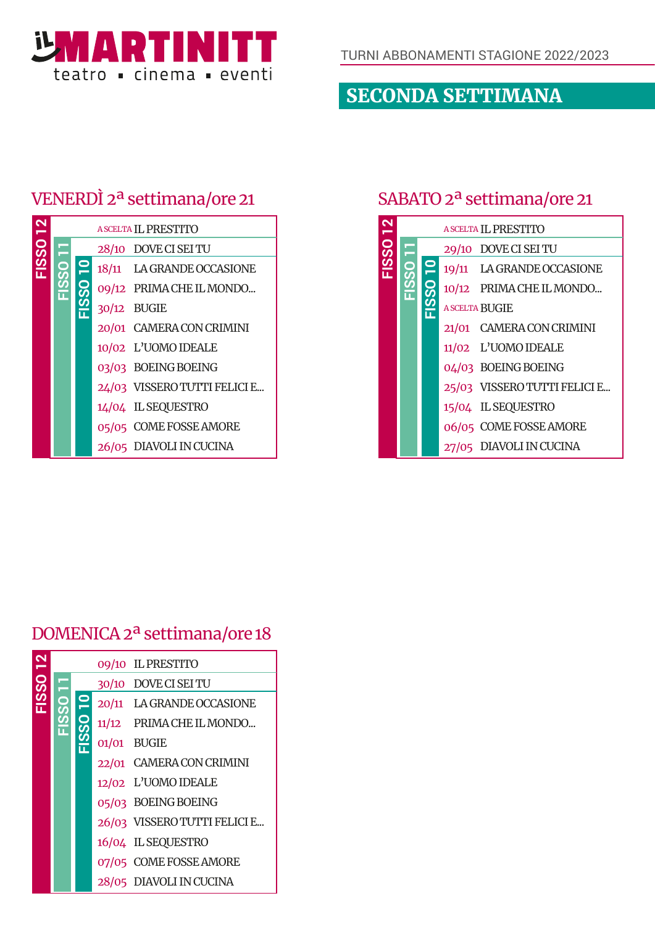

SECONDA SETTIMANA

### VENERDÌ 2ª settimana/ore 21

|  |  | <b>A SCELTA IL PRESTITO</b>  |
|--|--|------------------------------|
|  |  | 28/10 DOVE CI SEI TU         |
|  |  | 18/11 LA GRANDE OCCASIONE    |
|  |  | 09/12 PRIMA CHE IL MONDO     |
|  |  | 30/12 BUGIE                  |
|  |  | 20/01 CAMERA CON CRIMINI     |
|  |  | 10/02 L'UOMO IDEALE          |
|  |  | 03/03 BOEING BOEING          |
|  |  | 24/03 VISSERO TUTTI FELICI E |
|  |  | 14/04 IL SEQUESTRO           |
|  |  | 05/05 COME FOSSE AMORE       |
|  |  | 26/05 DIAVOLI IN CUCINA      |

#### SABATO 2ª settimana/ore 21

|          |  | A SCELTA IL PRESTITO         |
|----------|--|------------------------------|
|          |  | 29/10 DOVE CI SEI TU         |
| FISSO 12 |  | 19/11 LA GRANDE OCCASIONE    |
|          |  | 10/12 PRIMA CHE IL MONDO     |
|          |  | <b>A SCELTA BUGIE</b>        |
|          |  | 21/01 CAMERA CON CRIMINI     |
|          |  | 11/02 L'UOMO IDEALE          |
|          |  | 04/03 BOEING BOEING          |
|          |  | 25/03 VISSERO TUTTI FELICI E |
|          |  | 15/04 IL SEQUESTRO           |
|          |  | 06/05 COME FOSSE AMORE       |
|          |  | 27/05 DIAVOLI IN CUCINA      |

#### DOMENICA 2ª settimana/ore 18

|     |  |              | 09/10 IL PRESTITO            |
|-----|--|--------------|------------------------------|
| SSO |  |              | 30/10 DOVE CI SEI TU         |
|     |  | $\mathbf{P}$ | 20/11 LA GRANDE OCCASIONE    |
|     |  |              | 11/12 PRIMA CHE IL MONDO     |
|     |  |              | 01/01 BUGIE                  |
|     |  |              | 22/01 CAMERA CON CRIMINI     |
|     |  |              | 12/02 L'UOMO IDEALE          |
|     |  |              | 05/03 BOEING BOEING          |
|     |  |              | 26/03 VISSERO TUTTI FELICI E |
|     |  |              | 16/04 IL SEQUESTRO           |
|     |  |              | 07/05 COME FOSSE AMORE       |
|     |  |              | 28/05 DIAVOLI IN CUCINA      |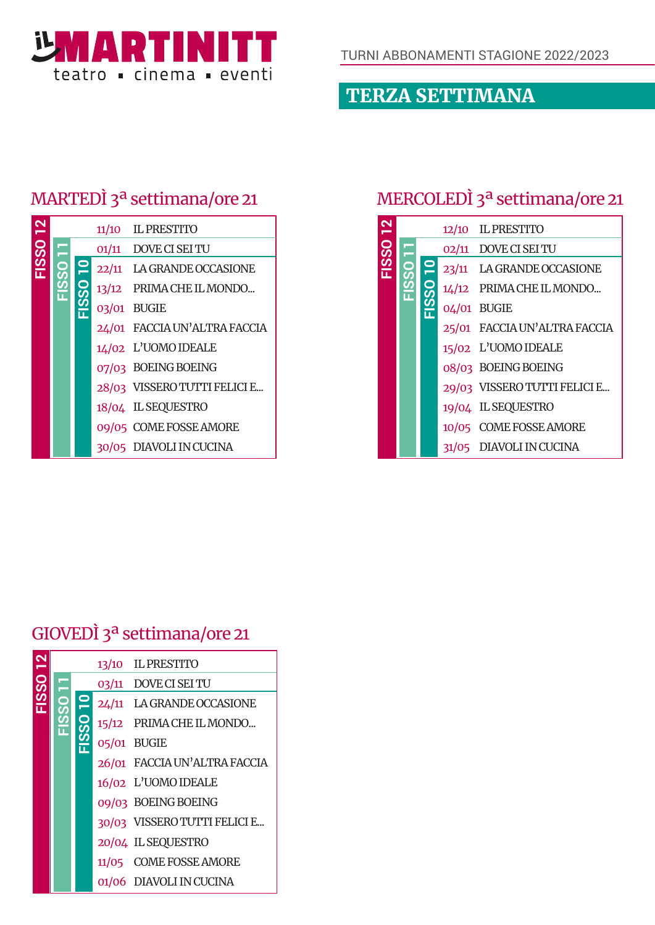

# TERZA SETTIMANA

# MARTEDÌ 3ª settimana/ore 21

|  |  | 11/10 IL PRESTITO            |
|--|--|------------------------------|
|  |  | 01/11 DOVE CI SEI TU         |
|  |  | 22/11 LA GRANDE OCCASIONE    |
|  |  | 13/12 PRIMA CHE IL MONDO     |
|  |  | 03/01 BUGIE                  |
|  |  | 24/01 FACCIA UN'ALTRA FACCIA |
|  |  | 14/02 L'UOMO IDEALE          |
|  |  | 07/03 BOEING BOEING          |
|  |  | 28/03 VISSERO TUTTI FELICI E |
|  |  | 18/04 IL SEQUESTRO           |
|  |  | 09/05 COME FOSSE AMORE       |
|  |  | 30/05 DIAVOLI IN CUCINA      |

# MERCOLEDÌ 3ª settimana/ore 21

|          |  | 12/10 IL PRESTITO            |
|----------|--|------------------------------|
|          |  | 02/11 DOVE CI SEI TU         |
| FISSO 12 |  | 23/11 LA GRANDE OCCASIONE    |
|          |  | 14/12 PRIMA CHE IL MONDO     |
|          |  | 04/01 BUGIE                  |
|          |  | 25/01 FACCIA UN'ALTRA FACCIA |
|          |  | 15/02 L'UOMO IDEALE          |
|          |  | 08/03 BOEING BOEING          |
|          |  | 29/03 VISSERO TUTTI FELICI E |
|          |  | 19/04 IL SEQUESTRO           |
|          |  | 10/05 COME FOSSE AMORE       |
|          |  | 31/05 DIAVOLI IN CUCINA      |

### GIOVEDÌ 3ª settimana/ore 21

|     |  | 13/10 IL PRESTITO            |
|-----|--|------------------------------|
| SSO |  | 03/11 DOVE CI SEI TU         |
|     |  | 24/11 LA GRANDE OCCASIONE    |
|     |  | 15/12 PRIMA CHE IL MONDO     |
|     |  | 05/01 BUGIE                  |
|     |  | 26/01 FACCIA UN'ALTRA FACCIA |
|     |  | 16/02 L'UOMO IDEALE          |
|     |  | 09/03 BOEING BOEING          |
|     |  | 30/03 VISSERO TUTTI FELICI E |
|     |  | 20/04 IL SEQUESTRO           |
|     |  | 11/05 COME FOSSE AMORE       |
|     |  | 01/06 DIAVOLI IN CUCINA      |
|     |  |                              |